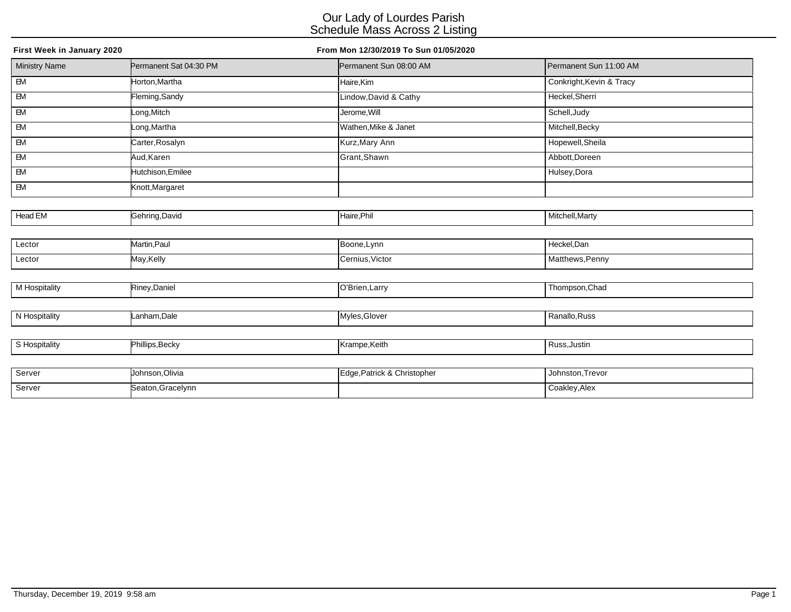| First Week in January 2020 |                        | From Mon 12/30/2019 To Sun 01/05/2020 |                          |
|----------------------------|------------------------|---------------------------------------|--------------------------|
| <b>Ministry Name</b>       | Permanent Sat 04:30 PM | Permanent Sun 08:00 AM                | Permanent Sun 11:00 AM   |
| $\overline{B}$             | Horton, Martha         | Haire,Kim                             | Conkright, Kevin & Tracy |
| $\overline{\mathsf{B}}$    | Fleming, Sandy         | Lindow, David & Cathy                 | Heckel, Sherri           |
| $\overline{B}$             | Long, Mitch            | Jerome, Will                          | Schell, Judy             |
| $\overline{\mathbb{B}}$    | Long,Martha            | Wathen, Mike & Janet                  | Mitchell, Becky          |
| EM                         | Carter, Rosalyn        | Kurz, Mary Ann                        | Hopewell, Sheila         |
| EM                         | Aud, Karen             | Grant, Shawn                          | Abbott, Doreen           |
| $\overline{\mathbb{B}}$    | Hutchison, Emilee      |                                       | Hulsey, Dora             |
| EM                         | Knott, Margaret        |                                       |                          |
|                            |                        |                                       |                          |
| Head EM                    | Gehring, David         | Haire, Phil                           | Mitchell, Marty          |
|                            |                        |                                       |                          |
| Lector                     | Martin, Paul           | Boone, Lynn                           | Heckel, Dan              |
| Lector                     | May,Kelly              | Cernius, Victor                       | Matthews, Penny          |
|                            |                        |                                       |                          |
| M Hospitality              | Riney, Daniel          | O'Brien, Larry                        | Thompson, Chad           |
|                            |                        |                                       |                          |
| N Hospitality              | Lanham, Dale           | Myles, Glover                         | Ranallo, Russ            |
|                            |                        |                                       |                          |
| S Hospitality              | Phillips, Becky        | Krampe, Keith                         | Russ, Justin             |
|                            |                        |                                       |                          |
| Server                     | Johnson, Olivia        | Edge, Patrick & Christopher           | Johnston, Trevor         |

| Server<br>. | Johnson, Olivia  | ge,Patrick & Christopher | , Johnston,Trevor |
|-------------|------------------|--------------------------|-------------------|
| Server<br>. | Seaton,Gracelynn |                          | Coakley, Alex     |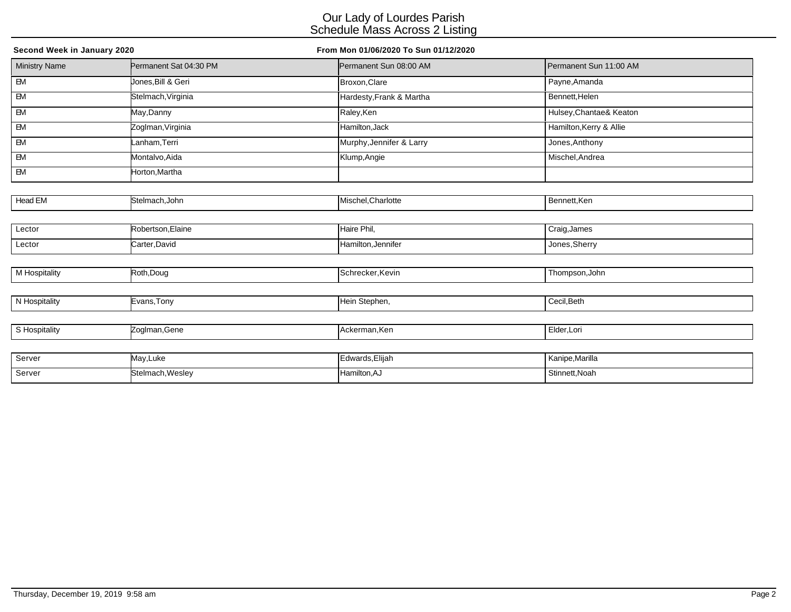| Second Week in January 2020 |                        | From Mon 01/06/2020 To Sun 01/12/2020 |                         |  |  |
|-----------------------------|------------------------|---------------------------------------|-------------------------|--|--|
| <b>Ministry Name</b>        | Permanent Sat 04:30 PM | Permanent Sun 08:00 AM                | Permanent Sun 11:00 AM  |  |  |
| $\overline{B}$              | Jones,Bill & Geri      | Broxon, Clare                         | Payne, Amanda           |  |  |
| $-M$                        | Stelmach, Virginia     | Hardesty, Frank & Martha              | Bennett, Helen          |  |  |
| EM                          | May,Danny              | Raley, Ken                            | Hulsey, Chantae& Keaton |  |  |
| EM                          | Zoglman, Virginia      | Hamilton, Jack                        | Hamilton, Kerry & Allie |  |  |
| EM                          | Lanham, Terri          | Murphy, Jennifer & Larry              | Jones, Anthony          |  |  |
| EM                          | Montalvo, Aida         | Klump, Angie                          | Mischel, Andrea         |  |  |
| EM                          | Horton, Martha         |                                       |                         |  |  |
|                             |                        |                                       |                         |  |  |
| Head EM                     | Stelmach, John         | Mischel, Charlotte                    | Bennett, Ken            |  |  |
|                             |                        |                                       |                         |  |  |
| Lector                      | Robertson, Elaine      | Haire Phil,                           | Craig, James            |  |  |
| Lector                      | Carter, David          | Hamilton, Jennifer                    | Jones, Sherry           |  |  |
|                             |                        |                                       |                         |  |  |
| M Hospitality               | Roth, Doug             | Schrecker, Kevin                      | Thompson, John          |  |  |
|                             |                        |                                       |                         |  |  |
| N Hospitality               | Evans, Tony            | Hein Stephen,                         | Cecil, Beth             |  |  |
|                             |                        |                                       |                         |  |  |
| S Hospitality               | Zoglman, Gene          | Ackerman, Ken                         | Elder, Lori             |  |  |
|                             |                        |                                       |                         |  |  |
| Server                      | May, Luke              | Edwards, Elijah                       | Kanipe, Marilla         |  |  |
| Server                      | Stelmach, Wesley       | Hamilton, AJ                          | Stinnett, Noah          |  |  |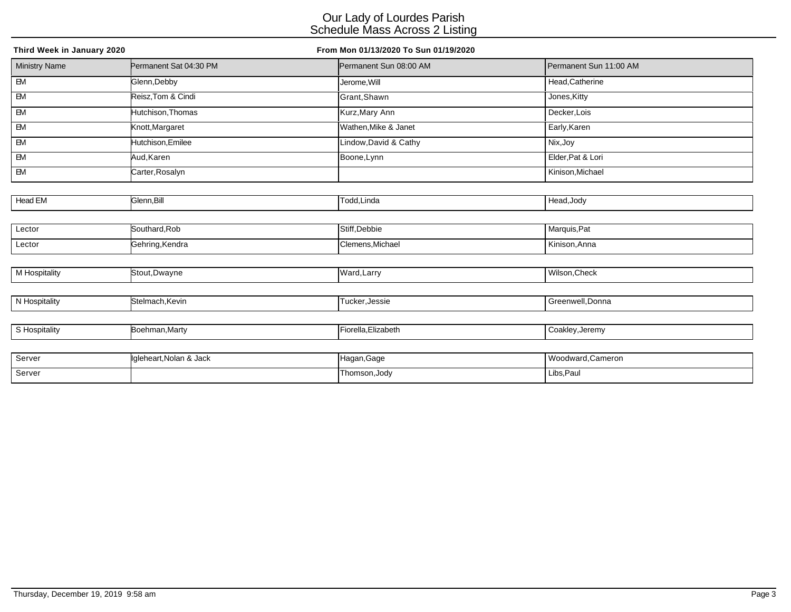| Third Week in January 2020 |                         | From Mon 01/13/2020 To Sun 01/19/2020 |                        |
|----------------------------|-------------------------|---------------------------------------|------------------------|
| <b>Ministry Name</b>       | Permanent Sat 04:30 PM  | Permanent Sun 08:00 AM                | Permanent Sun 11:00 AM |
| $\overline{EM}$            | Glenn, Debby            | Jerome, Will                          | Head, Catherine        |
| $\overline{\mathsf{B}}$    | Reisz, Tom & Cindi      | Grant, Shawn                          | Jones, Kitty           |
| $\overline{\mathbf{B}}$    | Hutchison, Thomas       | Kurz, Mary Ann                        | Decker, Lois           |
| $\overline{\mathsf{B}}$    | Knott, Margaret         | Wathen, Mike & Janet                  | Early, Karen           |
| EM                         | Hutchison, Emilee       | Lindow, David & Cathy                 | Nix, Joy               |
| EM                         | Aud, Karen              | Boone, Lynn                           | Elder, Pat & Lori      |
| $\overline{\mathsf{B}}$    | Carter, Rosalyn         |                                       | Kinison, Michael       |
|                            |                         |                                       |                        |
| Head EM                    | Glenn, Bill             | Todd, Linda                           | Head, Jody             |
|                            |                         |                                       |                        |
| Lector                     | Southard, Rob           | Stiff, Debbie                         | Marquis, Pat           |
| Lector                     | Gehring, Kendra         | Clemens, Michael                      | Kinison, Anna          |
|                            |                         |                                       |                        |
| <b>M</b> Hospitality       | Stout, Dwayne           | Ward, Larry                           | Wilson, Check          |
|                            |                         |                                       |                        |
| N Hospitality              | Stelmach, Kevin         | Tucker, Jessie                        | Greenwell, Donna       |
|                            |                         |                                       |                        |
| S Hospitality              | Boehman, Marty          | Fiorella, Elizabeth                   | Coakley, Jeremy        |
|                            |                         |                                       |                        |
| Server                     | Igleheart, Nolan & Jack | Hagan, Gage                           | Woodward, Cameron      |
| Server                     |                         | Thomson, Jody                         | Libs, Paul             |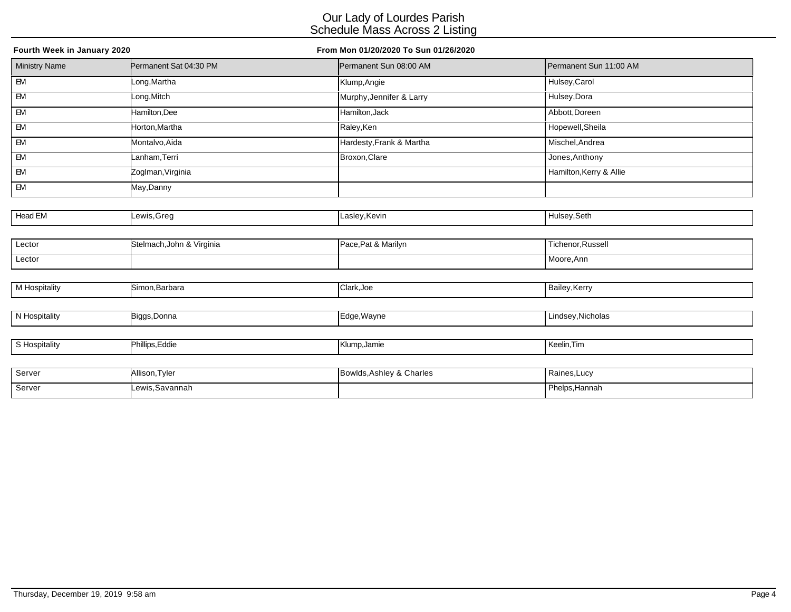| Fourth Week in January 2020 |                           | From Mon 01/20/2020 To Sun 01/26/2020 |                         |  |  |
|-----------------------------|---------------------------|---------------------------------------|-------------------------|--|--|
| <b>Ministry Name</b>        | Permanent Sat 04:30 PM    | Permanent Sun 08:00 AM                | Permanent Sun 11:00 AM  |  |  |
| $\overline{B}$              | Long, Martha              | Klump, Angie                          | Hulsey, Carol           |  |  |
| $\overline{\mathsf{B}}$     | Long, Mitch               | Murphy, Jennifer & Larry              | Hulsey, Dora            |  |  |
| $\overline{BM}$             | Hamilton, Dee             | Hamilton, Jack                        | Abbott, Doreen          |  |  |
| EM                          | Horton, Martha            | Raley, Ken                            | Hopewell, Sheila        |  |  |
| EM                          | Montalvo, Aida            | Hardesty, Frank & Martha              | Mischel, Andrea         |  |  |
| $\overline{\mathsf{B}}$     | Lanham,Terri              | Broxon, Clare                         | Jones, Anthony          |  |  |
| <b>EM</b>                   | Zoglman, Virginia         |                                       | Hamilton, Kerry & Allie |  |  |
| EM                          | May,Danny                 |                                       |                         |  |  |
|                             |                           |                                       |                         |  |  |
| Head EM                     | Lewis,Greg                | Lasley, Kevin                         | Hulsey, Seth            |  |  |
|                             |                           |                                       |                         |  |  |
| Lector                      | Stelmach, John & Virginia | Pace, Pat & Marilyn                   | Tichenor, Russell       |  |  |
| Lector                      |                           |                                       | Moore, Ann              |  |  |
|                             |                           |                                       |                         |  |  |
| M Hospitality               | Simon, Barbara            | Clark, Joe                            | Bailey, Kerry           |  |  |
|                             |                           |                                       |                         |  |  |
| N Hospitality               | Biggs, Donna              | Edge, Wayne                           | Lindsey, Nicholas       |  |  |
|                             |                           |                                       |                         |  |  |
| S Hospitality               | Phillips, Eddie           | Klump, Jamie                          | Keelin, Tim             |  |  |
|                             |                           |                                       |                         |  |  |
| Server                      | Allison, Tyler            | Bowlds, Ashley & Charles              | Raines, Lucy            |  |  |

Server Lewis,Savannah **Phelps,Hannah** Phelps,Hannah Phelps,Hannah Phelps,Hannah Phelps,Hannah Phelps,Hannah Phelps,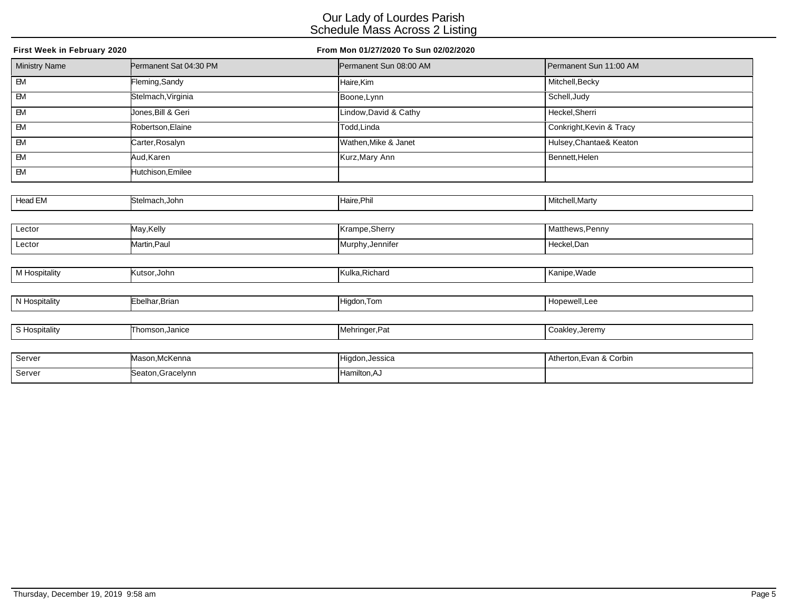| First Week in February 2020 |                        | From Mon 01/27/2020 To Sun 02/02/2020 |                          |
|-----------------------------|------------------------|---------------------------------------|--------------------------|
| <b>Ministry Name</b>        | Permanent Sat 04:30 PM | Permanent Sun 08:00 AM                | Permanent Sun 11:00 AM   |
| $\overline{B}$              | Fleming, Sandy         | Haire,Kim                             | Mitchell, Becky          |
| $\overline{BM}$             | Stelmach, Virginia     | Boone, Lynn                           | Schell, Judy             |
| EM                          | Jones, Bill & Geri     | Lindow, David & Cathy                 | Heckel, Sherri           |
| EM                          | Robertson, Elaine      | Todd,Linda                            | Conkright, Kevin & Tracy |
| EM                          | Carter, Rosalyn        | Wathen, Mike & Janet                  | Hulsey, Chantae& Keaton  |
| <b>EM</b>                   | Aud, Karen             | Kurz, Mary Ann                        | Bennett, Helen           |
| <b>EM</b>                   | Hutchison, Emilee      |                                       |                          |
|                             |                        |                                       |                          |
| Head EM                     | Stelmach, John         | Haire, Phil                           | Mitchell, Marty          |
|                             |                        |                                       |                          |
| Lector                      | May, Kelly             | Krampe, Sherry                        | Matthews, Penny          |
| Lector                      | Martin, Paul           | Murphy, Jennifer                      | Heckel, Dan              |
|                             |                        |                                       |                          |
| M Hospitality               | Kutsor, John           | Kulka, Richard                        | Kanipe, Wade             |
|                             |                        |                                       |                          |
| N Hospitality               | Ebelhar, Brian         | Higdon, Tom                           | Hopewell, Lee            |
|                             |                        |                                       |                          |
| S Hospitality               | Thomson, Janice        | Mehringer, Pat                        | Coakley, Jeremy          |
|                             |                        |                                       |                          |
| Server                      | Mason, McKenna         | Higdon, Jessica                       | Atherton, Evan & Corbin  |
| Server                      | Seaton, Gracelynn      | Hamilton, AJ                          |                          |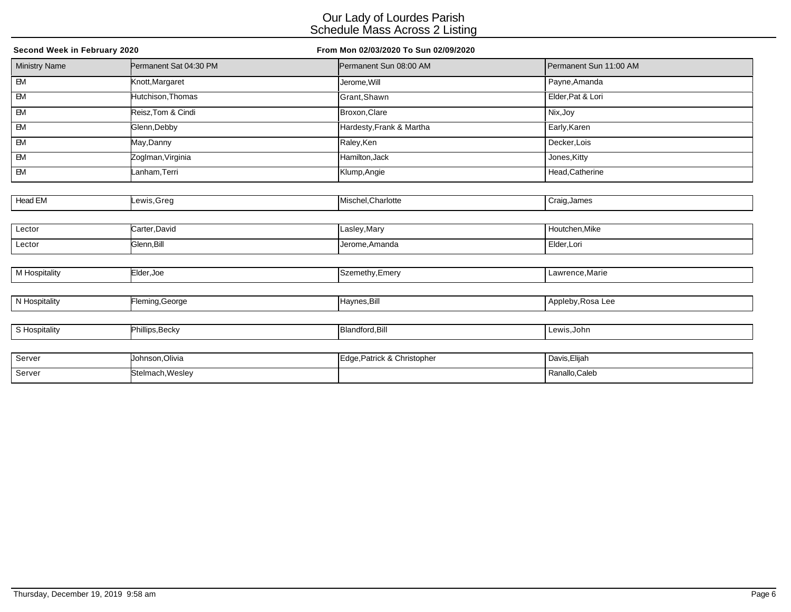| Second Week in February 2020 |                        | From Mon 02/03/2020 To Sun 02/09/2020 |                        |  |
|------------------------------|------------------------|---------------------------------------|------------------------|--|
| <b>Ministry Name</b>         | Permanent Sat 04:30 PM | Permanent Sun 08:00 AM                | Permanent Sun 11:00 AM |  |
| $\overline{B}$               | Knott, Margaret        | Jerome, Will                          | Payne, Amanda          |  |
| $\overline{BM}$              | Hutchison, Thomas      | Grant, Shawn                          | Elder, Pat & Lori      |  |
| $\overline{\mathsf{B}}$      | Reisz, Tom & Cindi     | Broxon, Clare                         | Nix, Joy               |  |
| $\overline{\mathsf{B}}$      | Glenn, Debby           | Hardesty, Frank & Martha              | Early, Karen           |  |
| EM                           | May,Danny              | Raley, Ken                            | Decker, Lois           |  |
| <b>EM</b>                    | Zoglman, Virginia      | Hamilton, Jack                        | Jones, Kitty           |  |
| EM                           | Lanham, Terri          | Klump, Angie                          | Head, Catherine        |  |
|                              |                        |                                       |                        |  |
| Head EM                      | ewis,Greg              | Mischel, Charlotte                    | Craig, James           |  |
|                              |                        |                                       |                        |  |
| Lector                       | Carter, David          | Lasley, Mary                          | Houtchen, Mike         |  |
| Lector                       | Glenn, Bill            | Jerome, Amanda                        | Elder, Lori            |  |
|                              |                        |                                       |                        |  |
| M Hospitality                | Elder, Joe             | Szemethy, Emery                       | Lawrence, Marie        |  |
|                              |                        |                                       |                        |  |
| N Hospitality                | Fleming, George        | Haynes, Bill                          | Appleby, Rosa Lee      |  |
|                              |                        |                                       |                        |  |
| S Hospitality                | Phillips, Becky        | Blandford, Bill                       | Lewis, John            |  |
|                              |                        |                                       |                        |  |
| Server                       | Johnson, Olivia        | Edge, Patrick & Christopher           | Davis, Elijah          |  |
| Server                       | Stelmach, Wesley       |                                       | Ranallo, Caleb         |  |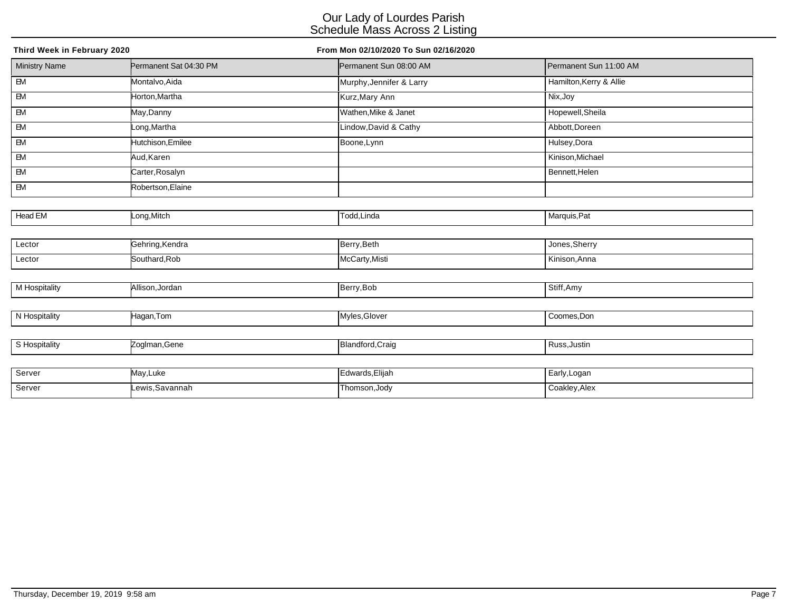| Third Week in February 2020 |                        | From Mon 02/10/2020 To Sun 02/16/2020 |                         |  |
|-----------------------------|------------------------|---------------------------------------|-------------------------|--|
| <b>Ministry Name</b>        | Permanent Sat 04:30 PM | Permanent Sun 08:00 AM                | Permanent Sun 11:00 AM  |  |
| $\overline{B}$              | Montalvo, Aida         | Murphy, Jennifer & Larry              | Hamilton, Kerry & Allie |  |
| $\overline{BM}$             | Horton, Martha         | Kurz, Mary Ann                        | Nix, Joy                |  |
| $\overline{\mathbf{B}}$     | May, Danny             | Wathen, Mike & Janet                  | Hopewell, Sheila        |  |
| EM                          | Long, Martha           | Lindow, David & Cathy                 | Abbott, Doreen          |  |
| $\overline{\mathsf{B}}$     | Hutchison, Emilee      | Boone, Lynn                           | Hulsey, Dora            |  |
| <b>EM</b>                   | Aud, Karen             |                                       | Kinison, Michael        |  |
| EM                          | Carter, Rosalyn        |                                       | Bennett, Helen          |  |
| EM                          | Robertson, Elaine      |                                       |                         |  |
|                             |                        |                                       |                         |  |
| Head EM                     | Long, Mitch            | Todd, Linda                           | Marquis, Pat            |  |
|                             |                        |                                       |                         |  |
| Lector                      | Gehring, Kendra        | Berry, Beth                           | Jones, Sherry           |  |
| Lector                      | Southard, Rob          | McCarty, Misti                        | Kinison, Anna           |  |
|                             |                        |                                       |                         |  |
| M Hospitality               | Allison, Jordan        | Berry, Bob                            | Stiff, Amy              |  |
|                             |                        |                                       |                         |  |
| N Hospitality               | Hagan, Tom             | Myles, Glover                         | Coomes, Don             |  |
|                             |                        |                                       |                         |  |
| S Hospitality               | Zoglman, Gene          | Blandford, Craig                      | Russ, Justin            |  |
|                             |                        |                                       |                         |  |
| Server                      | May, Luke              | Edwards, Elijah                       | Early, Logan            |  |
| Server                      | Lewis, Savannah        | Thomson, Jody                         | Coakley, Alex           |  |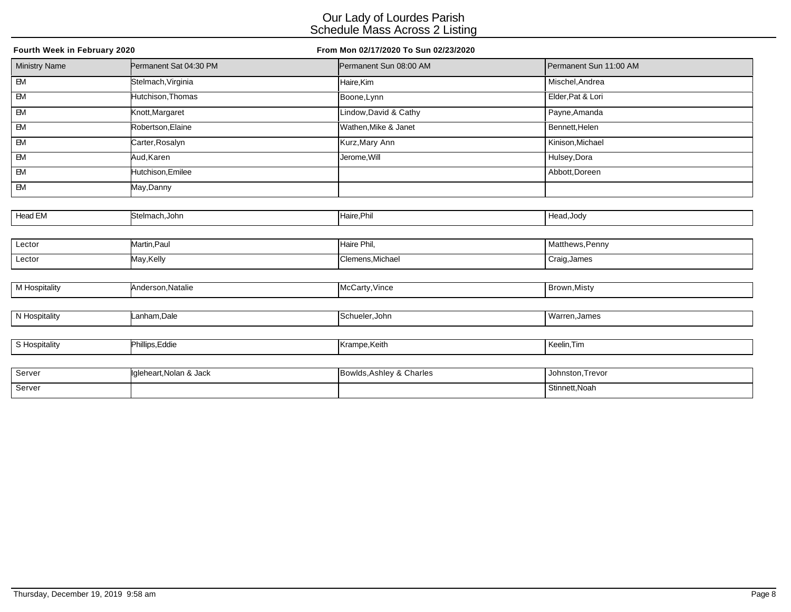| Fourth Week in February 2020 |                        | From Mon 02/17/2020 To Sun 02/23/2020 |                        |  |
|------------------------------|------------------------|---------------------------------------|------------------------|--|
| <b>Ministry Name</b>         | Permanent Sat 04:30 PM | Permanent Sun 08:00 AM                | Permanent Sun 11:00 AM |  |
| $\overline{B}$               | Stelmach, Virginia     | Haire, Kim                            | Mischel, Andrea        |  |
| $-M$                         | Hutchison, Thomas      | Boone, Lynn                           | Elder, Pat & Lori      |  |
| $\overline{\mathbf{B}}$      | Knott, Margaret        | Lindow, David & Cathy                 | Payne, Amanda          |  |
| EM                           | Robertson, Elaine      | Wathen, Mike & Janet                  | Bennett, Helen         |  |
| <b>EM</b>                    | Carter, Rosalyn        | Kurz, Mary Ann                        | Kinison, Michael       |  |
| <b>EM</b>                    | Aud, Karen             | Jerome, Will                          | Hulsey, Dora           |  |
| $\overline{\mathsf{B}}$      | Hutchison, Emilee      |                                       | Abbott, Doreen         |  |
| EM                           | May,Danny              |                                       |                        |  |
|                              |                        |                                       |                        |  |
| Head EM                      | Stelmach, John         | Haire, Phil                           | Head, Jody             |  |
|                              |                        |                                       |                        |  |
| Lector                       | Martin, Paul           | Haire Phil,                           | Matthews, Penny        |  |
| Lector                       | May,Kelly              | Clemens, Michael                      | Craig, James           |  |
|                              |                        |                                       |                        |  |
| M Hospitality                | Anderson, Natalie      | McCarty, Vince                        | Brown, Misty           |  |
|                              |                        |                                       |                        |  |
| N Hospitality                | Lanham, Dale           | Schueler, John                        | Warren, James          |  |
|                              |                        |                                       |                        |  |
| S Hospitality                | Phillips, Eddie        | Krampe,Keith                          | Keelin, Tim            |  |
|                              |                        |                                       |                        |  |
| Server                       | Inleheart Nolan & Jack | <b>Bowlds Ashley &amp; Charles</b>    | Johnston Trevor        |  |

| Server | llgleheart.Nolan & Jack | Bowlds, Ashley & Charles | . Johnston.Trevor           |
|--------|-------------------------|--------------------------|-----------------------------|
| Server |                         |                          | <sup>I</sup> Stinnett, Noah |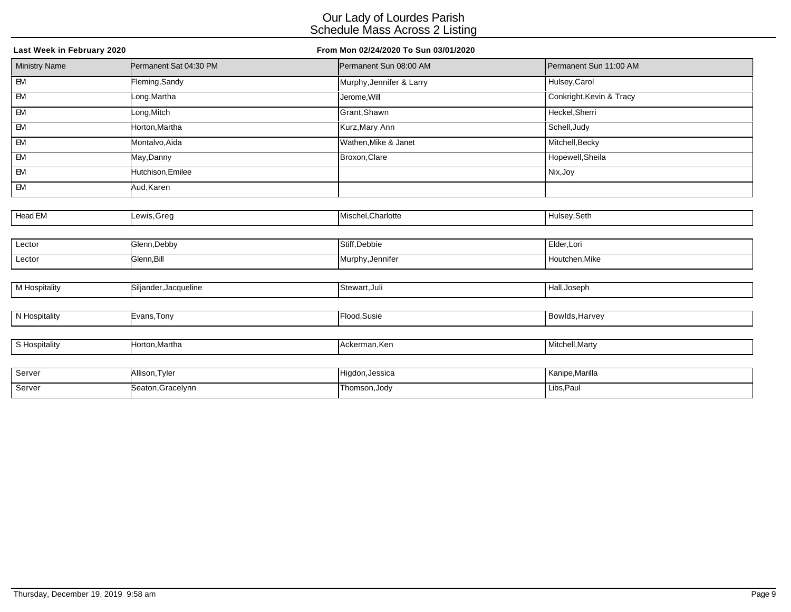| Last Week in February 2020 |                        | From Mon 02/24/2020 To Sun 03/01/2020 |                          |  |  |
|----------------------------|------------------------|---------------------------------------|--------------------------|--|--|
| <b>Ministry Name</b>       | Permanent Sat 04:30 PM | Permanent Sun 08:00 AM                | Permanent Sun 11:00 AM   |  |  |
| $\overline{B}$             | Fleming, Sandy         | Murphy, Jennifer & Larry              | Hulsey, Carol            |  |  |
| $\overline{BM}$            | Long, Martha           | Jerome, Will                          | Conkright, Kevin & Tracy |  |  |
| $\overline{\mathsf{B}}$    | Long, Mitch            | Grant, Shawn                          | Heckel, Sherri           |  |  |
| EM                         | Horton, Martha         | Kurz, Mary Ann                        | Schell, Judy             |  |  |
| $\overline{\mathsf{B}}$    | Montalvo, Aida         | Wathen, Mike & Janet                  | Mitchell, Becky          |  |  |
| <b>EM</b>                  | May,Danny              | Broxon, Clare                         | Hopewell, Sheila         |  |  |
| EM                         | Hutchison, Emilee      |                                       | Nix, Joy                 |  |  |
| EM                         | Aud, Karen             |                                       |                          |  |  |
|                            |                        |                                       |                          |  |  |
| Head EM                    | Lewis, Greg            | Mischel, Charlotte                    | Hulsey, Seth             |  |  |
|                            |                        |                                       |                          |  |  |
| Lector                     | Glenn, Debby           | Stiff, Debbie                         | Elder, Lori              |  |  |
| Lector                     | Glenn, Bill            | Murphy, Jennifer                      | Houtchen, Mike           |  |  |
|                            |                        |                                       |                          |  |  |
| M Hospitality              | Siljander, Jacqueline  | Stewart, Juli                         | Hall, Joseph             |  |  |
|                            |                        |                                       |                          |  |  |
| N Hospitality              | Evans, Tony            | Flood, Susie                          | Bowlds, Harvey           |  |  |
|                            |                        |                                       |                          |  |  |
| S Hospitality              | Horton, Martha         | Ackerman, Ken                         | Mitchell, Marty          |  |  |
|                            |                        |                                       |                          |  |  |
| Server                     | Allison, Tyler         | Higdon, Jessica                       | Kanipe, Marilla          |  |  |
| Server                     | Seaton, Gracelynn      | Thomson, Jody                         | Libs, Paul               |  |  |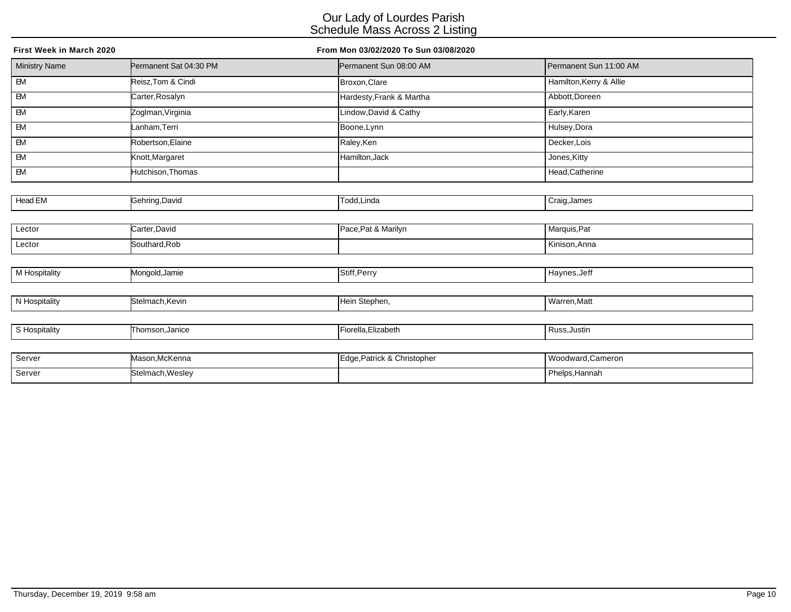| First Week in March 2020 |                        | From Mon 03/02/2020 To Sun 03/08/2020 |                         |
|--------------------------|------------------------|---------------------------------------|-------------------------|
| <b>Ministry Name</b>     | Permanent Sat 04:30 PM | Permanent Sun 08:00 AM                | Permanent Sun 11:00 AM  |
| $\overline{B}$           | Reisz, Tom & Cindi     | Broxon, Clare                         | Hamilton, Kerry & Allie |
| $\overline{\mathsf{B}}$  | Carter, Rosalyn        | Hardesty, Frank & Martha              | Abbott, Doreen          |
| $\overline{\mathsf{B}}$  | Zoglman, Virginia      | Lindow, David & Cathy                 | Early, Karen            |
| EM                       | Lanham, Terri          | Boone, Lynn                           | Hulsey, Dora            |
| EM                       | Robertson, Elaine      | Raley,Ken                             | Decker, Lois            |
| $\overline{\mathsf{B}}$  | Knott, Margaret        | Hamilton, Jack                        | Jones, Kitty            |
| $\overline{\mathsf{B}}$  | Hutchison, Thomas      |                                       | Head, Catherine         |
|                          |                        |                                       |                         |
| Head EM                  | Gehring, David         | Todd, Linda                           | Craig, James            |
|                          |                        |                                       |                         |
| Lector                   | Carter, David          | Pace, Pat & Marilyn                   | Marquis, Pat            |
| Lector                   | Southard, Rob          |                                       | Kinison, Anna           |
|                          |                        |                                       |                         |
| M Hospitality            | Mongold, Jamie         | Stiff, Perry                          | Haynes, Jeff            |
|                          |                        |                                       |                         |
| N Hospitality            | Stelmach, Kevin        | Hein Stephen,                         | Warren, Matt            |
|                          |                        |                                       |                         |
| S Hospitality            | Thomson, Janice        | Fiorella, Elizabeth                   | Russ, Justin            |
|                          |                        |                                       |                         |
| Server                   | Mason, McKenna         | Edge, Patrick & Christopher           | Woodward, Cameron       |
| Server                   | Stelmach, Wesley       |                                       | Phelps, Hannah          |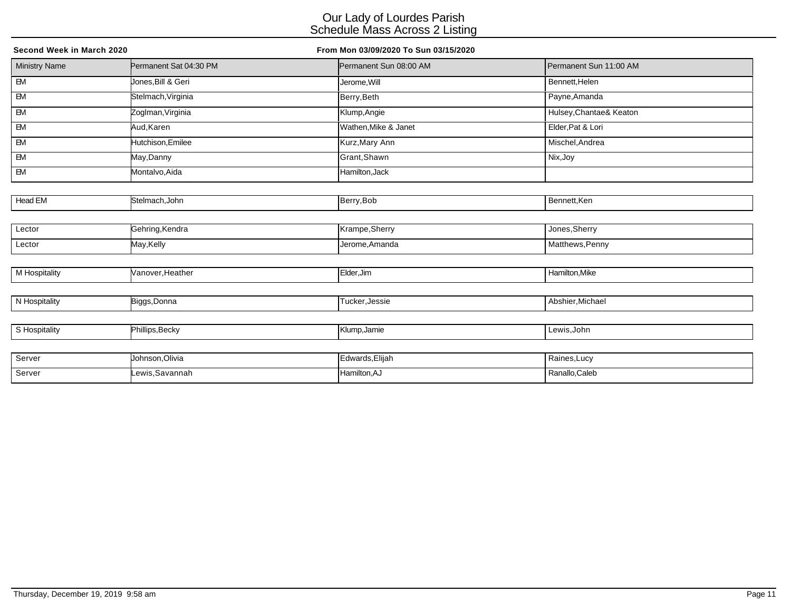| Second Week in March 2020 |                        | From Mon 03/09/2020 To Sun 03/15/2020 |                         |  |
|---------------------------|------------------------|---------------------------------------|-------------------------|--|
| <b>Ministry Name</b>      | Permanent Sat 04:30 PM | Permanent Sun 08:00 AM                | Permanent Sun 11:00 AM  |  |
| $\overline{B}$            | Jones, Bill & Geri     | Jerome, Will                          | Bennett, Helen          |  |
| $-M$                      | Stelmach, Virginia     | Berry, Beth                           | Payne, Amanda           |  |
| EM                        | Zoglman, Virginia      | Klump, Angie                          | Hulsey, Chantae& Keaton |  |
| <b>EM</b>                 | Aud,Karen              | Wathen, Mike & Janet                  | Elder, Pat & Lori       |  |
| EM                        | Hutchison, Emilee      | Kurz, Mary Ann                        | Mischel, Andrea         |  |
| EM                        | May,Danny              | Grant, Shawn                          | Nix, Joy                |  |
| EM                        | Montalvo, Aida         | Hamilton, Jack                        |                         |  |
|                           |                        |                                       |                         |  |
| Head EM                   | Stelmach, John         | Berry, Bob                            | Bennett, Ken            |  |
|                           |                        |                                       |                         |  |
| Lector                    | Gehring, Kendra        | Krampe, Sherry                        | Jones, Sherry           |  |
| Lector                    | May, Kelly             | Jerome, Amanda                        | Matthews, Penny         |  |
|                           |                        |                                       |                         |  |
| M Hospitality             | Vanover, Heather       | Elder, Jim                            | Hamilton, Mike          |  |
|                           |                        |                                       |                         |  |
| N Hospitality             | Biggs, Donna           | Tucker, Jessie                        | Abshier, Michael        |  |
|                           |                        |                                       |                         |  |
| S Hospitality             | Phillips, Becky        | Klump, Jamie                          | Lewis, John             |  |
|                           |                        |                                       |                         |  |
| Server                    | Johnson, Olivia        | Edwards, Elijah                       | Raines, Lucy            |  |
| Server                    | Lewis, Savannah        | Hamilton, AJ                          | Ranallo, Caleb          |  |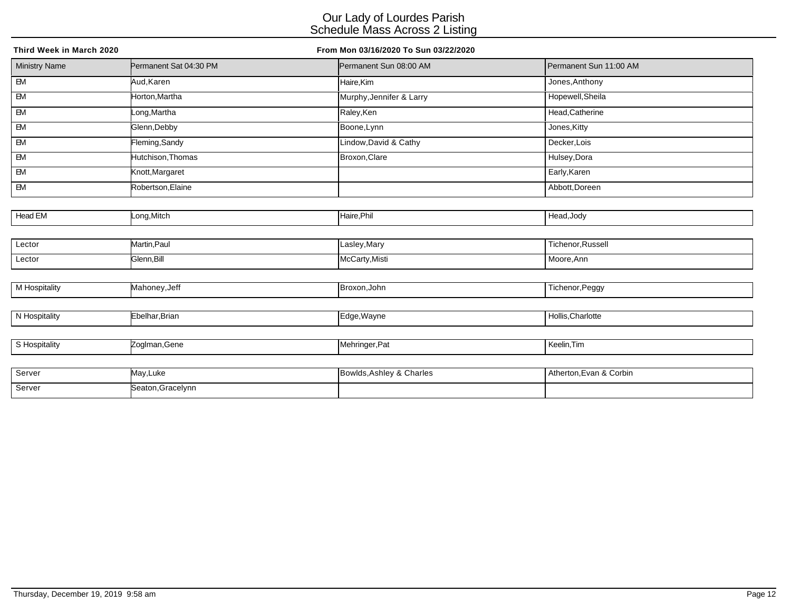| Third Week in March 2020 |                        | From Mon 03/16/2020 To Sun 03/22/2020 |                        |
|--------------------------|------------------------|---------------------------------------|------------------------|
| <b>Ministry Name</b>     | Permanent Sat 04:30 PM | Permanent Sun 08:00 AM                | Permanent Sun 11:00 AM |
| $\overline{B}$           | Aud, Karen             | Haire,Kim                             | Jones, Anthony         |
| $\overline{\mathsf{B}}$  | Horton, Martha         | Murphy, Jennifer & Larry              | Hopewell, Sheila       |
| $\overline{BM}$          | Long, Martha           | Raley, Ken                            | Head, Catherine        |
| $\overline{\mathbb{B}}$  | Glenn, Debby           | Boone, Lynn                           | Jones, Kitty           |
| $\overline{B}$           | Fleming, Sandy         | Lindow, David & Cathy                 | Decker, Lois           |
| EM                       | Hutchison, Thomas      | Broxon, Clare                         | Hulsey, Dora           |
| $\overline{\mathsf{B}}$  | Knott, Margaret        |                                       | Early, Karen           |
| $\overline{\mathsf{B}}$  | Robertson, Elaine      |                                       | Abbott, Doreen         |
|                          |                        |                                       |                        |
| Head EM                  | Long, Mitch            | Haire, Phil                           | Head, Jody             |
|                          |                        |                                       |                        |
| Lector                   | Martin, Paul           | Lasley, Mary                          | Tichenor, Russell      |
| Lector                   | Glenn, Bill            | McCarty, Misti                        | Moore, Ann             |
|                          |                        |                                       |                        |
| M Hospitality            | Mahoney, Jeff          | Broxon, John                          | Tichenor, Peggy        |
|                          |                        |                                       |                        |
| N Hospitality            | Ebelhar, Brian         | Edge, Wayne                           | Hollis, Charlotte      |
|                          |                        |                                       |                        |
| S Hospitality            | Zoglman, Gene          | Mehringer, Pat                        | Keelin, Tim            |
|                          |                        |                                       |                        |
| Server                   | May Luke               | Rowlds Ashloy & Charles               | Atherton Evan & Corbin |

| Server | .<br>May,Luke    | owlds,Ashley & Charles | Atherton, Evan & Corbin |
|--------|------------------|------------------------|-------------------------|
| Server | Seaton.Gracelvnn |                        |                         |